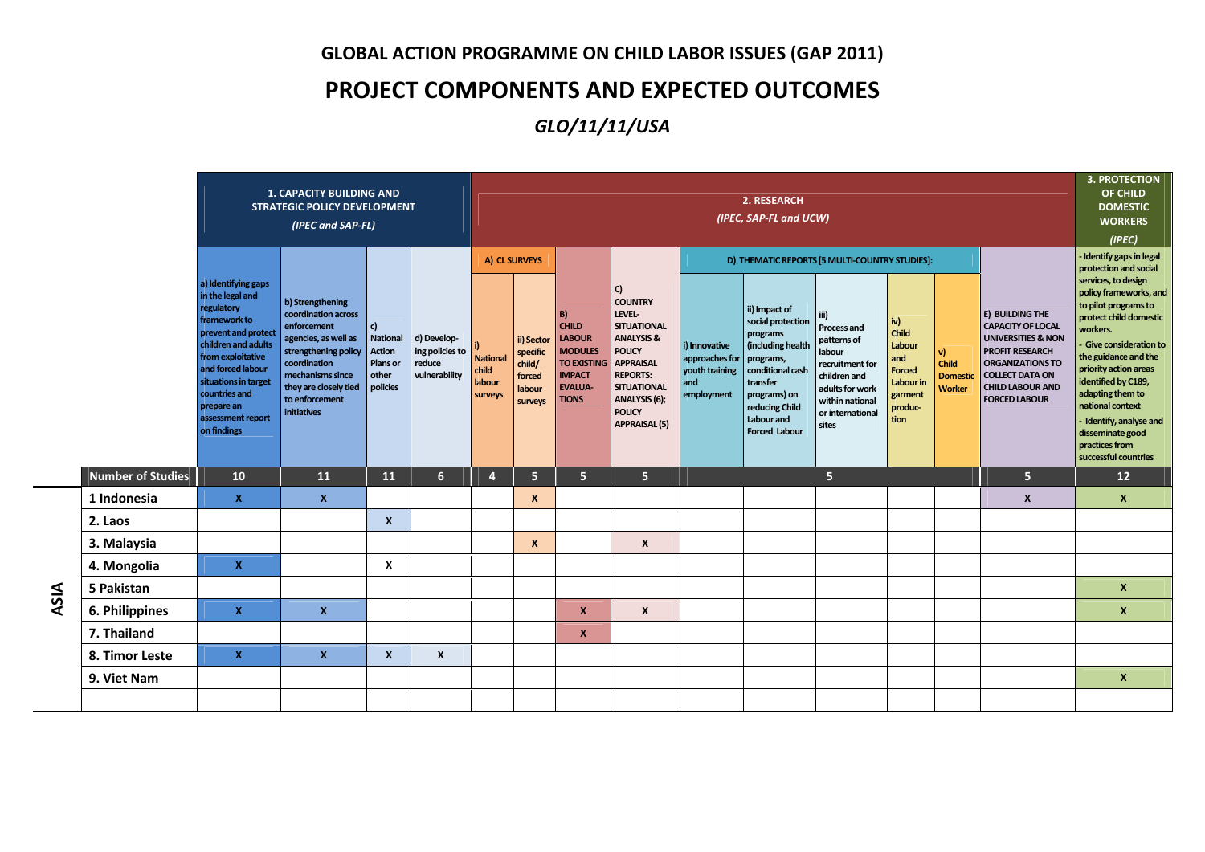## **GLOBAL ACTION PROGRAMME ON CHILD LABOR ISSUES (GAP 2011)**

## **PROJECT COMPONENTS AND EXPECTED OUTCOMES**

## *GLO/11/11/USA*

| <b>1. CAPACITY BUILDING AND</b><br><b>STRATEGIC POLICY DEVELOPMENT</b><br>(IPEC and SAP-FL) |                                                                                                                                                                                                                                                          |                                                                                                                                                                                                      |                                                                         |                                                           |                                                                | 2. RESEARCH<br>(IPEC, SAP-FL and UCW)                           |                                                                                                                                      |                                                                                                                                                                                                                       |                                                                        |                                                                                                                                                                                          |                                                                                                                                                                                                      |                                                                                           |                                                 |                                                                                                                                                                                                         |                                                                                                                                                                                                                                                                                                                                                                                                         |  |
|---------------------------------------------------------------------------------------------|----------------------------------------------------------------------------------------------------------------------------------------------------------------------------------------------------------------------------------------------------------|------------------------------------------------------------------------------------------------------------------------------------------------------------------------------------------------------|-------------------------------------------------------------------------|-----------------------------------------------------------|----------------------------------------------------------------|-----------------------------------------------------------------|--------------------------------------------------------------------------------------------------------------------------------------|-----------------------------------------------------------------------------------------------------------------------------------------------------------------------------------------------------------------------|------------------------------------------------------------------------|------------------------------------------------------------------------------------------------------------------------------------------------------------------------------------------|------------------------------------------------------------------------------------------------------------------------------------------------------------------------------------------------------|-------------------------------------------------------------------------------------------|-------------------------------------------------|---------------------------------------------------------------------------------------------------------------------------------------------------------------------------------------------------------|---------------------------------------------------------------------------------------------------------------------------------------------------------------------------------------------------------------------------------------------------------------------------------------------------------------------------------------------------------------------------------------------------------|--|
|                                                                                             | a) Identifying gaps<br>in the legal and<br>regulatory<br>framework to<br>prevent and protect<br>children and adults<br>from exploitative<br>and forced labour<br>situations in target<br>countries and<br>prepare an<br>assessment report<br>on findings | b) Strengthening<br>coordination across<br>enforcement<br>agencies, as well as<br>strengthening policy<br>coordination<br>mechanisms since<br>they are closely tied<br>to enforcement<br>initiatives | c)<br><b>National</b><br><b>Action</b><br>Plans or<br>other<br>policies | d) Develop-<br>ing policies to<br>reduce<br>vulnerability | A) CL SURVEYS<br><b>National</b><br>child<br>labour<br>surveys | ii) Sector<br>specific<br>child/<br>forced<br>labour<br>surveys | <b>B</b><br><b>CHILD</b><br><b>LABOUR</b><br><b>MODULES</b><br><b>TO EXISTING</b><br><b>IMPACT</b><br><b>EVALUA-</b><br><b>TIONS</b> | C)<br><b>COUNTRY</b><br>LEVEL-<br><b>SITUATIONAL</b><br><b>ANALYSIS &amp;</b><br><b>POLICY</b><br><b>APPRAISAL</b><br><b>REPORTS:</b><br><b>SITUATIONAL</b><br>ANALYSIS (6);<br><b>POLICY</b><br><b>APPRAISAL (5)</b> | i) Innovative<br>approaches for<br>youth training<br>and<br>employment | ii) Impact of<br>social protection<br>programs<br>(including health<br>programs,<br>conditional cash<br>transfer<br>programs) on<br>reducing Child<br>Labour and<br><b>Forced Labour</b> | D) THEMATIC REPORTS [5 MULTI-COUNTRY STUDIES]:<br>iii)<br>Process and<br>patterns of<br>labour<br>recruitment for<br>children and<br>adults for work<br>within national<br>or international<br>sites | iv)<br>Child<br>Labour<br>and<br><b>Forced</b><br>Labour in<br>garment<br>produc-<br>tion | V)<br>Child<br><b>Domestic</b><br><b>Worker</b> | E) BUILDING THE<br><b>CAPACITY OF LOCAL</b><br><b>UNIVERSITIES &amp; NON</b><br><b>PROFIT RESEARCH</b><br>ORGANIZATIONS TO<br><b>COLLECT DATA ON</b><br><b>CHILD LABOUR AND</b><br><b>FORCED LABOUR</b> | - Identify gaps in legal<br>protection and social<br>services, to design<br>policy frameworks, and<br>to pilot programs to<br>protect child domestic<br>workers.<br><b>Give consideration to</b><br>the guidance and the<br>priority action areas<br>identified by C189,<br>adapting them to<br>national context<br>Identify, analyse and<br>disseminate good<br>practices from<br>successful countries |  |
| <b>Number of Studies</b>                                                                    | 10                                                                                                                                                                                                                                                       | 11                                                                                                                                                                                                   | 11                                                                      | 6 <sup>1</sup>                                            | $\overline{4}$                                                 | 5 <sup>1</sup>                                                  | 5 <sup>1</sup>                                                                                                                       | 5 <sup>1</sup>                                                                                                                                                                                                        |                                                                        |                                                                                                                                                                                          | 5 <sub>5</sub>                                                                                                                                                                                       |                                                                                           |                                                 | 5 <sup>1</sup>                                                                                                                                                                                          | 12                                                                                                                                                                                                                                                                                                                                                                                                      |  |
| 1 Indonesia                                                                                 | $\mathbf{x}$                                                                                                                                                                                                                                             | $\boldsymbol{x}$                                                                                                                                                                                     |                                                                         |                                                           |                                                                |                                                                 |                                                                                                                                      |                                                                                                                                                                                                                       |                                                                        |                                                                                                                                                                                          |                                                                                                                                                                                                      |                                                                                           |                                                 | X                                                                                                                                                                                                       | $\boldsymbol{x}$                                                                                                                                                                                                                                                                                                                                                                                        |  |
| 2. Laos                                                                                     |                                                                                                                                                                                                                                                          |                                                                                                                                                                                                      | $\boldsymbol{x}$                                                        |                                                           |                                                                |                                                                 |                                                                                                                                      |                                                                                                                                                                                                                       |                                                                        |                                                                                                                                                                                          |                                                                                                                                                                                                      |                                                                                           |                                                 |                                                                                                                                                                                                         |                                                                                                                                                                                                                                                                                                                                                                                                         |  |
| 3. Malaysia                                                                                 |                                                                                                                                                                                                                                                          |                                                                                                                                                                                                      |                                                                         |                                                           |                                                                | X                                                               |                                                                                                                                      | $\boldsymbol{x}$                                                                                                                                                                                                      |                                                                        |                                                                                                                                                                                          |                                                                                                                                                                                                      |                                                                                           |                                                 |                                                                                                                                                                                                         |                                                                                                                                                                                                                                                                                                                                                                                                         |  |
| 4. Mongolia                                                                                 | $\mathbf{x}$                                                                                                                                                                                                                                             |                                                                                                                                                                                                      | X                                                                       |                                                           |                                                                |                                                                 |                                                                                                                                      |                                                                                                                                                                                                                       |                                                                        |                                                                                                                                                                                          |                                                                                                                                                                                                      |                                                                                           |                                                 |                                                                                                                                                                                                         |                                                                                                                                                                                                                                                                                                                                                                                                         |  |
| 5 Pakistan                                                                                  |                                                                                                                                                                                                                                                          |                                                                                                                                                                                                      |                                                                         |                                                           |                                                                |                                                                 |                                                                                                                                      |                                                                                                                                                                                                                       |                                                                        |                                                                                                                                                                                          |                                                                                                                                                                                                      |                                                                                           |                                                 |                                                                                                                                                                                                         | $\boldsymbol{x}$                                                                                                                                                                                                                                                                                                                                                                                        |  |
| 6. Philippines                                                                              | $\mathbf{x}$                                                                                                                                                                                                                                             | $\mathbf{x}$                                                                                                                                                                                         |                                                                         |                                                           |                                                                |                                                                 | $\mathbf{x}$                                                                                                                         | $\boldsymbol{x}$                                                                                                                                                                                                      |                                                                        |                                                                                                                                                                                          |                                                                                                                                                                                                      |                                                                                           |                                                 |                                                                                                                                                                                                         | $\boldsymbol{x}$                                                                                                                                                                                                                                                                                                                                                                                        |  |
| 7. Thailand                                                                                 |                                                                                                                                                                                                                                                          |                                                                                                                                                                                                      |                                                                         |                                                           |                                                                |                                                                 | X                                                                                                                                    |                                                                                                                                                                                                                       |                                                                        |                                                                                                                                                                                          |                                                                                                                                                                                                      |                                                                                           |                                                 |                                                                                                                                                                                                         |                                                                                                                                                                                                                                                                                                                                                                                                         |  |
| 8. Timor Leste                                                                              | $\mathbf{x}$                                                                                                                                                                                                                                             | $\mathbf{x}$                                                                                                                                                                                         | $\mathbf{x}$                                                            | $\boldsymbol{x}$                                          |                                                                |                                                                 |                                                                                                                                      |                                                                                                                                                                                                                       |                                                                        |                                                                                                                                                                                          |                                                                                                                                                                                                      |                                                                                           |                                                 |                                                                                                                                                                                                         |                                                                                                                                                                                                                                                                                                                                                                                                         |  |
| 9. Viet Nam                                                                                 |                                                                                                                                                                                                                                                          |                                                                                                                                                                                                      |                                                                         |                                                           |                                                                |                                                                 |                                                                                                                                      |                                                                                                                                                                                                                       |                                                                        |                                                                                                                                                                                          |                                                                                                                                                                                                      |                                                                                           |                                                 |                                                                                                                                                                                                         | $\boldsymbol{x}$                                                                                                                                                                                                                                                                                                                                                                                        |  |
|                                                                                             |                                                                                                                                                                                                                                                          |                                                                                                                                                                                                      |                                                                         |                                                           |                                                                |                                                                 |                                                                                                                                      |                                                                                                                                                                                                                       |                                                                        |                                                                                                                                                                                          |                                                                                                                                                                                                      |                                                                                           |                                                 |                                                                                                                                                                                                         |                                                                                                                                                                                                                                                                                                                                                                                                         |  |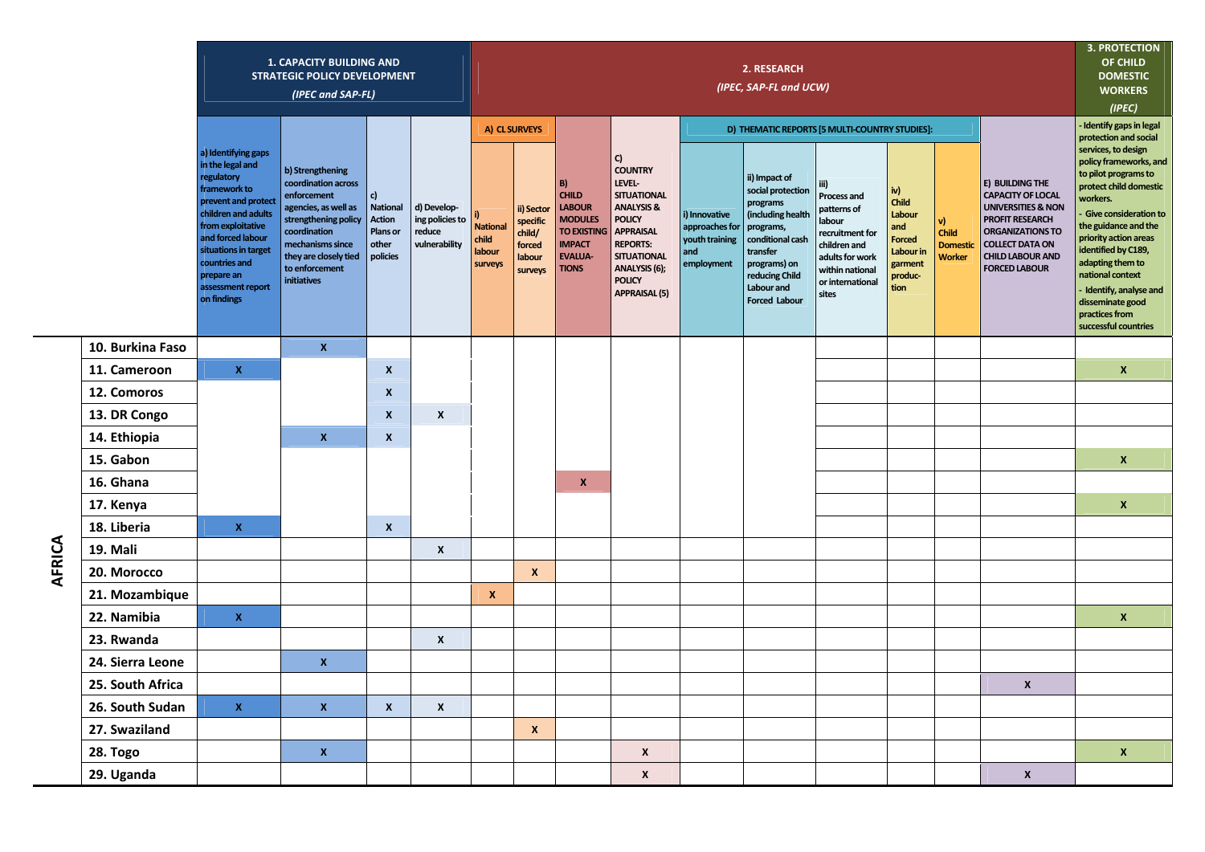|                  |                                                                                                                                                                                                                                                          | <b>1. CAPACITY BUILDING AND</b><br><b>STRATEGIC POLICY DEVELOPMENT</b><br>(IPEC and SAP-FL)                                                                                                                 |                                                                                |                                                           | 2. RESEARCH<br>(IPEC, SAP-FL and UCW)         |                                                                 |                                                                                                                                |                                                                                                                                                                                                                       |                                                                        |                                                                                                                                                                                          |                                                                                                                                                           |                                                                                           |                                                |                                                                                                                                                                                                         |                                                                                                                                                                                                                                                                                                                                             |
|------------------|----------------------------------------------------------------------------------------------------------------------------------------------------------------------------------------------------------------------------------------------------------|-------------------------------------------------------------------------------------------------------------------------------------------------------------------------------------------------------------|--------------------------------------------------------------------------------|-----------------------------------------------------------|-----------------------------------------------|-----------------------------------------------------------------|--------------------------------------------------------------------------------------------------------------------------------|-----------------------------------------------------------------------------------------------------------------------------------------------------------------------------------------------------------------------|------------------------------------------------------------------------|------------------------------------------------------------------------------------------------------------------------------------------------------------------------------------------|-----------------------------------------------------------------------------------------------------------------------------------------------------------|-------------------------------------------------------------------------------------------|------------------------------------------------|---------------------------------------------------------------------------------------------------------------------------------------------------------------------------------------------------------|---------------------------------------------------------------------------------------------------------------------------------------------------------------------------------------------------------------------------------------------------------------------------------------------------------------------------------------------|
|                  |                                                                                                                                                                                                                                                          |                                                                                                                                                                                                             |                                                                                |                                                           | A) CL SURVEYS                                 |                                                                 |                                                                                                                                |                                                                                                                                                                                                                       | D) THEMATIC REPORTS [5 MULTI-COUNTRY STUDIES]:                         | Identify gaps in legal<br>protection and social                                                                                                                                          |                                                                                                                                                           |                                                                                           |                                                |                                                                                                                                                                                                         |                                                                                                                                                                                                                                                                                                                                             |
|                  | a) Identifying gaps<br>in the legal and<br>regulatory<br>framework to<br>prevent and protect<br>children and adults<br>from exploitative<br>and forced labour<br>situations in target<br>countries and<br>prepare an<br>assessment report<br>on findings | b) Strengthening<br>coordination across<br>enforcement<br>agencies, as well as<br>strengthening policy<br>coordination<br>mechanisms since<br>they are closely tied<br>to enforcement<br><b>initiatives</b> | c)<br><b>National</b><br><b>Action</b><br><b>Plans</b> or<br>other<br>policies | d) Develop-<br>ing policies to<br>reduce<br>vulnerability | <b>National</b><br>child<br>labour<br>surveys | ii) Sector<br>specific<br>child/<br>forced<br>labour<br>surveys | B)<br><b>CHILD</b><br><b>LABOUR</b><br><b>MODULES</b><br><b>TO EXISTING</b><br><b>IMPACT</b><br><b>EVALUA-</b><br><b>TIONS</b> | C)<br><b>COUNTRY</b><br>LEVEL-<br><b>SITUATIONAL</b><br><b>ANALYSIS &amp;</b><br><b>POLICY</b><br><b>APPRAISAL</b><br><b>REPORTS:</b><br><b>SITUATIONAL</b><br>ANALYSIS (6);<br><b>POLICY</b><br><b>APPRAISAL (5)</b> | i) Innovative<br>approaches for<br>youth training<br>and<br>employment | ii) Impact of<br>social protection<br>programs<br>(including health<br>programs,<br>conditional cash<br>transfer<br>programs) on<br>reducing Child<br>Labour and<br><b>Forced Labour</b> | iii)<br><b>Process and</b><br>patterns of<br>labour<br>recruitment for<br>children and<br>adults for work<br>within national<br>or international<br>sites | iv)<br>Child<br>Labour<br>and<br><b>Forced</b><br>Labour in<br>garment<br>produc-<br>tion | v)<br>Child<br><b>Domesti</b><br><b>Worker</b> | E) BUILDING THE<br><b>CAPACITY OF LOCAL</b><br><b>UNIVERSITIES &amp; NON</b><br><b>PROFIT RESEARCH</b><br>ORGANIZATIONS TO<br><b>COLLECT DATA ON</b><br><b>CHILD LABOUR AND</b><br><b>FORCED LABOUR</b> | services, to design<br>policy frameworks, and<br>to pilot programs to<br>protect child domestic<br>workers.<br>Give consideration to<br>the guidance and the<br>priority action areas<br>identified by C189,<br>adapting them to<br>national context<br>Identify, analyse and<br>disseminate good<br>practices from<br>successful countries |
| 10. Burkina Faso |                                                                                                                                                                                                                                                          | $\mathbf{x}$                                                                                                                                                                                                |                                                                                |                                                           |                                               |                                                                 |                                                                                                                                |                                                                                                                                                                                                                       |                                                                        |                                                                                                                                                                                          |                                                                                                                                                           |                                                                                           |                                                |                                                                                                                                                                                                         |                                                                                                                                                                                                                                                                                                                                             |
| 11. Cameroon     | $\mathbf{x}$                                                                                                                                                                                                                                             |                                                                                                                                                                                                             | $\boldsymbol{x}$                                                               |                                                           |                                               |                                                                 |                                                                                                                                |                                                                                                                                                                                                                       |                                                                        |                                                                                                                                                                                          |                                                                                                                                                           |                                                                                           |                                                |                                                                                                                                                                                                         | $\mathbf{x}$                                                                                                                                                                                                                                                                                                                                |
| 12. Comoros      |                                                                                                                                                                                                                                                          |                                                                                                                                                                                                             | $\boldsymbol{x}$                                                               |                                                           |                                               |                                                                 |                                                                                                                                |                                                                                                                                                                                                                       |                                                                        |                                                                                                                                                                                          |                                                                                                                                                           |                                                                                           |                                                |                                                                                                                                                                                                         |                                                                                                                                                                                                                                                                                                                                             |
| 13. DR Congo     |                                                                                                                                                                                                                                                          |                                                                                                                                                                                                             | $\boldsymbol{x}$                                                               | $\mathsf{x}$                                              |                                               |                                                                 |                                                                                                                                |                                                                                                                                                                                                                       |                                                                        |                                                                                                                                                                                          |                                                                                                                                                           |                                                                                           |                                                |                                                                                                                                                                                                         |                                                                                                                                                                                                                                                                                                                                             |
| 14. Ethiopia     |                                                                                                                                                                                                                                                          | $\mathbf{x}$                                                                                                                                                                                                | $\pmb{\mathsf{x}}$                                                             |                                                           |                                               |                                                                 |                                                                                                                                |                                                                                                                                                                                                                       |                                                                        |                                                                                                                                                                                          |                                                                                                                                                           |                                                                                           |                                                |                                                                                                                                                                                                         |                                                                                                                                                                                                                                                                                                                                             |
| 15. Gabon        |                                                                                                                                                                                                                                                          |                                                                                                                                                                                                             |                                                                                |                                                           |                                               |                                                                 |                                                                                                                                |                                                                                                                                                                                                                       |                                                                        |                                                                                                                                                                                          |                                                                                                                                                           |                                                                                           |                                                |                                                                                                                                                                                                         | $\mathbf{x}$                                                                                                                                                                                                                                                                                                                                |
| 16. Ghana        |                                                                                                                                                                                                                                                          |                                                                                                                                                                                                             |                                                                                |                                                           |                                               |                                                                 | $\pmb{\mathsf{x}}$                                                                                                             |                                                                                                                                                                                                                       |                                                                        |                                                                                                                                                                                          |                                                                                                                                                           |                                                                                           |                                                |                                                                                                                                                                                                         |                                                                                                                                                                                                                                                                                                                                             |
| 17. Kenya        |                                                                                                                                                                                                                                                          |                                                                                                                                                                                                             |                                                                                |                                                           |                                               |                                                                 |                                                                                                                                |                                                                                                                                                                                                                       |                                                                        |                                                                                                                                                                                          |                                                                                                                                                           |                                                                                           |                                                |                                                                                                                                                                                                         | $\mathbf{x}$                                                                                                                                                                                                                                                                                                                                |
| 18. Liberia      | $\mathbf x$                                                                                                                                                                                                                                              |                                                                                                                                                                                                             | $\boldsymbol{x}$                                                               |                                                           |                                               |                                                                 |                                                                                                                                |                                                                                                                                                                                                                       |                                                                        |                                                                                                                                                                                          |                                                                                                                                                           |                                                                                           |                                                |                                                                                                                                                                                                         |                                                                                                                                                                                                                                                                                                                                             |
| 19. Mali         |                                                                                                                                                                                                                                                          |                                                                                                                                                                                                             |                                                                                | $\boldsymbol{x}$                                          |                                               |                                                                 |                                                                                                                                |                                                                                                                                                                                                                       |                                                                        |                                                                                                                                                                                          |                                                                                                                                                           |                                                                                           |                                                |                                                                                                                                                                                                         |                                                                                                                                                                                                                                                                                                                                             |
| 20. Morocco      |                                                                                                                                                                                                                                                          |                                                                                                                                                                                                             |                                                                                |                                                           |                                               | $\boldsymbol{x}$                                                |                                                                                                                                |                                                                                                                                                                                                                       |                                                                        |                                                                                                                                                                                          |                                                                                                                                                           |                                                                                           |                                                |                                                                                                                                                                                                         |                                                                                                                                                                                                                                                                                                                                             |
| 21. Mozambique   |                                                                                                                                                                                                                                                          |                                                                                                                                                                                                             |                                                                                |                                                           | X                                             |                                                                 |                                                                                                                                |                                                                                                                                                                                                                       |                                                                        |                                                                                                                                                                                          |                                                                                                                                                           |                                                                                           |                                                |                                                                                                                                                                                                         |                                                                                                                                                                                                                                                                                                                                             |
| 22. Namibia      | $\mathbf{x}$                                                                                                                                                                                                                                             |                                                                                                                                                                                                             |                                                                                |                                                           |                                               |                                                                 |                                                                                                                                |                                                                                                                                                                                                                       |                                                                        |                                                                                                                                                                                          |                                                                                                                                                           |                                                                                           |                                                |                                                                                                                                                                                                         | $\mathbf{x}$                                                                                                                                                                                                                                                                                                                                |
| 23. Rwanda       |                                                                                                                                                                                                                                                          |                                                                                                                                                                                                             |                                                                                | $\boldsymbol{x}$                                          |                                               |                                                                 |                                                                                                                                |                                                                                                                                                                                                                       |                                                                        |                                                                                                                                                                                          |                                                                                                                                                           |                                                                                           |                                                |                                                                                                                                                                                                         |                                                                                                                                                                                                                                                                                                                                             |
| 24. Sierra Leone |                                                                                                                                                                                                                                                          | $\mathbf{x}$                                                                                                                                                                                                |                                                                                |                                                           |                                               |                                                                 |                                                                                                                                |                                                                                                                                                                                                                       |                                                                        |                                                                                                                                                                                          |                                                                                                                                                           |                                                                                           |                                                |                                                                                                                                                                                                         |                                                                                                                                                                                                                                                                                                                                             |
| 25. South Africa |                                                                                                                                                                                                                                                          |                                                                                                                                                                                                             |                                                                                |                                                           |                                               |                                                                 |                                                                                                                                |                                                                                                                                                                                                                       |                                                                        |                                                                                                                                                                                          |                                                                                                                                                           |                                                                                           |                                                | $\mathsf{x}$                                                                                                                                                                                            |                                                                                                                                                                                                                                                                                                                                             |
| 26. South Sudan  | $\mathbf x$                                                                                                                                                                                                                                              | $\mathbf{x}$                                                                                                                                                                                                | $\boldsymbol{x}$                                                               | X                                                         |                                               |                                                                 |                                                                                                                                |                                                                                                                                                                                                                       |                                                                        |                                                                                                                                                                                          |                                                                                                                                                           |                                                                                           |                                                |                                                                                                                                                                                                         |                                                                                                                                                                                                                                                                                                                                             |
| 27. Swaziland    |                                                                                                                                                                                                                                                          |                                                                                                                                                                                                             |                                                                                |                                                           |                                               | $\boldsymbol{x}$                                                |                                                                                                                                |                                                                                                                                                                                                                       |                                                                        |                                                                                                                                                                                          |                                                                                                                                                           |                                                                                           |                                                |                                                                                                                                                                                                         |                                                                                                                                                                                                                                                                                                                                             |
| 28. Togo         |                                                                                                                                                                                                                                                          | $\pmb{\mathsf{X}}$                                                                                                                                                                                          |                                                                                |                                                           |                                               |                                                                 |                                                                                                                                | X                                                                                                                                                                                                                     |                                                                        |                                                                                                                                                                                          |                                                                                                                                                           |                                                                                           |                                                |                                                                                                                                                                                                         | $\pmb{\mathsf{x}}$                                                                                                                                                                                                                                                                                                                          |
| 29. Uganda       |                                                                                                                                                                                                                                                          |                                                                                                                                                                                                             |                                                                                |                                                           |                                               |                                                                 |                                                                                                                                | $\pmb{\mathsf{x}}$                                                                                                                                                                                                    |                                                                        |                                                                                                                                                                                          |                                                                                                                                                           |                                                                                           |                                                | $\pmb{\mathsf{x}}$                                                                                                                                                                                      |                                                                                                                                                                                                                                                                                                                                             |